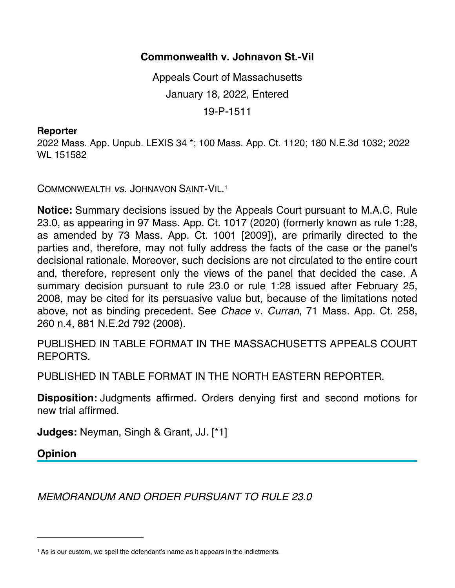## **Commonwealth v. Johnavon St.-Vil**

Appeals Court of Massachusetts January 18, 2022, Entered 19-P-1511

## **Reporter**

2022 Mass. App. Unpub. LEXIS 34 \*; 100 Mass. App. Ct. 1120; 180 N.E.3d 1032; 2022 WL 151582

COMMONWEALTH *vs*. JOHNAVON SAINT-VIL.1

**Notice:** Summary decisions issued by the Appeals Court pursuant to M.A.C. Rule 23.0, as appearing in 97 Mass. App. Ct. 1017 (2020) (formerly known as rule 1:28, as amended by 73 Mass. App. Ct. 1001 [2009]), are primarily directed to the parties and, therefore, may not fully address the facts of the case or the panel's decisional rationale. Moreover, such decisions are not circulated to the entire court and, therefore, represent only the views of the panel that decided the case. A summary decision pursuant to rule 23.0 or rule 1:28 issued after February 25, 2008, may be cited for its persuasive value but, because of the limitations noted above, not as binding precedent. See *Chace* v. *Curran*, 71 Mass. App. Ct. 258, 260 n.4, 881 N.E.2d 792 (2008).

PUBLISHED IN TABLE FORMAT IN THE MASSACHUSETTS APPEALS COURT REPORTS.

PUBLISHED IN TABLE FORMAT IN THE NORTH EASTERN REPORTER.

**Disposition:** Judgments affirmed. Orders denying first and second motions for new trial affirmed.

**Judges:** Neyman, Singh & Grant, JJ. [\*1]

**Opinion**

*MEMORANDUM AND ORDER PURSUANT TO RULE 23.0*

<sup>&</sup>lt;sup>1</sup> As is our custom, we spell the defendant's name as it appears in the indictments.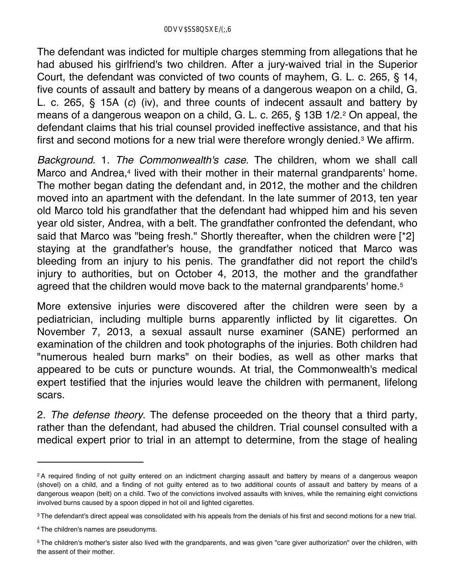The defendant was indicted for multiple charges stemming from allegations that he had abused his girlfriend's two children. After a jury-waived trial in the Superior Court, the defendant was convicted of two counts of mayhem, G. L. c. 265, § 14, five counts of assault and battery by means of a dangerous weapon on a child, G. L. c. 265, § 15A (*c*) (iv), and three counts of indecent assault and battery by means of a dangerous weapon on a child, G. L. c. 265, § 13B 1/2.2 On appeal, the defendant claims that his trial counsel provided ineffective assistance, and that his first and second motions for a new trial were therefore wrongly denied.3 We affirm.

*Background*. 1. *The Commonwealth's case*. The children, whom we shall call Marco and Andrea,<sup>4</sup> lived with their mother in their maternal grandparents' home. The mother began dating the defendant and, in 2012, the mother and the children moved into an apartment with the defendant. In the late summer of 2013, ten year old Marco told his grandfather that the defendant had whipped him and his seven year old sister, Andrea, with a belt. The grandfather confronted the defendant, who said that Marco was "being fresh." Shortly thereafter, when the children were [\*2] staying at the grandfather's house, the grandfather noticed that Marco was bleeding from an injury to his penis. The grandfather did not report the child's injury to authorities, but on October 4, 2013, the mother and the grandfather agreed that the children would move back to the maternal grandparents' home.<sup>5</sup>

More extensive injuries were discovered after the children were seen by a pediatrician, including multiple burns apparently inflicted by lit cigarettes. On November 7, 2013, a sexual assault nurse examiner (SANE) performed an examination of the children and took photographs of the injuries. Both children had "numerous healed burn marks" on their bodies, as well as other marks that appeared to be cuts or puncture wounds. At trial, the Commonwealth's medical expert testified that the injuries would leave the children with permanent, lifelong scars.

2. *The defense theory*. The defense proceeded on the theory that a third party, rather than the defendant, had abused the children. Trial counsel consulted with a medical expert prior to trial in an attempt to determine, from the stage of healing

<sup>&</sup>lt;sup>2</sup>A required finding of not guilty entered on an indictment charging assault and battery by means of a dangerous weapon (shovel) on a child, and a finding of not guilty entered as to two additional counts of assault and battery by means of a dangerous weapon (belt) on a child. Two of the convictions involved assaults with knives, while the remaining eight convictions involved burns caused by a spoon dipped in hot oil and lighted cigarettes.

<sup>&</sup>lt;sup>3</sup> The defendant's direct appeal was consolidated with his appeals from the denials of his first and second motions for a new trial.

<sup>4</sup> The children's names are pseudonyms.

<sup>5</sup> The children's mother's sister also lived with the grandparents, and was given "care giver authorization" over the children, with the assent of their mother.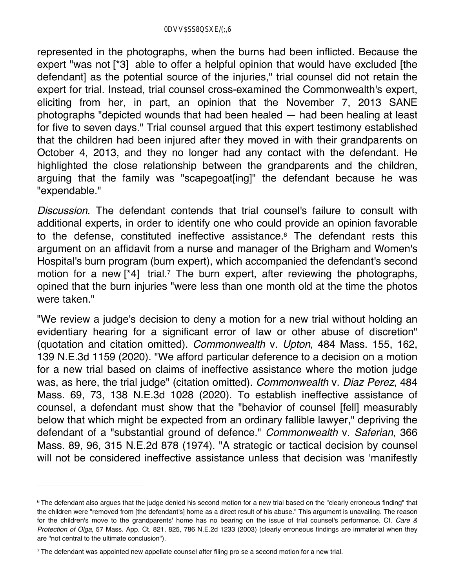represented in the photographs, when the burns had been inflicted. Because the expert "was not [\*3] able to offer a helpful opinion that would have excluded [the defendant] as the potential source of the injuries," trial counsel did not retain the expert for trial. Instead, trial counsel cross-examined the Commonwealth's expert, eliciting from her, in part, an opinion that the November 7, 2013 SANE photographs "depicted wounds that had been healed — had been healing at least for five to seven days." Trial counsel argued that this expert testimony established that the children had been injured after they moved in with their grandparents on October 4, 2013, and they no longer had any contact with the defendant. He highlighted the close relationship between the grandparents and the children, arguing that the family was "scapegoat[ing]" the defendant because he was "expendable."

*Discussion*. The defendant contends that trial counsel's failure to consult with additional experts, in order to identify one who could provide an opinion favorable to the defense, constituted ineffective assistance.6 The defendant rests this argument on an affidavit from a nurse and manager of the Brigham and Women's Hospital's burn program (burn expert), which accompanied the defendant's second motion for a new [\*4] trial.<sup>7</sup> The burn expert, after reviewing the photographs, opined that the burn injuries "were less than one month old at the time the photos were taken."

"We review a judge's decision to deny a motion for a new trial without holding an evidentiary hearing for a significant error of law or other abuse of discretion" (quotation and citation omitted). *Commonwealth* v. *Upton*, 484 Mass. 155, 162, 139 N.E.3d 1159 (2020). "We afford particular deference to a decision on a motion for a new trial based on claims of ineffective assistance where the motion judge was, as here, the trial judge" (citation omitted). *Commonwealth* v. *Diaz Perez*, 484 Mass. 69, 73, 138 N.E.3d 1028 (2020). To establish ineffective assistance of counsel, a defendant must show that the "behavior of counsel [fell] measurably below that which might be expected from an ordinary fallible lawyer," depriving the defendant of a "substantial ground of defence." *Commonwealth* v. *Saferian*, 366 Mass. 89, 96, 315 N.E.2d 878 (1974). "A strategic or tactical decision by counsel will not be considered ineffective assistance unless that decision was 'manifestly

<sup>&</sup>lt;sup>6</sup> The defendant also argues that the judge denied his second motion for a new trial based on the "clearly erroneous finding" that the children were "removed from [the defendant's] home as a direct result of his abuse." This argument is unavailing. The reason for the children's move to the grandparents' home has no bearing on the issue of trial counsel's performance. Cf. *Care & Protection of Olga*, 57 Mass. App. Ct. 821, 825, 786 N.E.2d 1233 (2003) (clearly erroneous findings are immaterial when they are "not central to the ultimate conclusion").

<sup>7</sup> The defendant was appointed new appellate counsel after filing pro se a second motion for a new trial.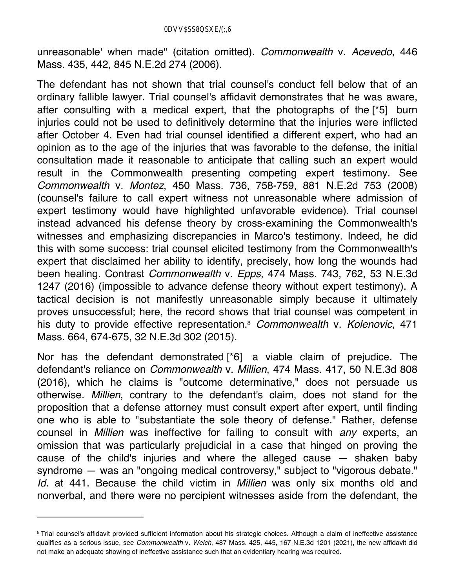unreasonable' when made" (citation omitted). *Commonwealth* v. *Acevedo*, 446 Mass. 435, 442, 845 N.E.2d 274 (2006).

The defendant has not shown that trial counsel's conduct fell below that of an ordinary fallible lawyer. Trial counsel's affidavit demonstrates that he was aware, after consulting with a medical expert, that the photographs of the [\*5] burn injuries could not be used to definitively determine that the injuries were inflicted after October 4. Even had trial counsel identified a different expert, who had an opinion as to the age of the injuries that was favorable to the defense, the initial consultation made it reasonable to anticipate that calling such an expert would result in the Commonwealth presenting competing expert testimony. See *Commonwealth* v. *Montez*, 450 Mass. 736, 758-759, 881 N.E.2d 753 (2008) (counsel's failure to call expert witness not unreasonable where admission of expert testimony would have highlighted unfavorable evidence). Trial counsel instead advanced his defense theory by cross-examining the Commonwealth's witnesses and emphasizing discrepancies in Marco's testimony. Indeed, he did this with some success: trial counsel elicited testimony from the Commonwealth's expert that disclaimed her ability to identify, precisely, how long the wounds had been healing. Contrast *Commonwealth* v. *Epps*, 474 Mass. 743, 762, 53 N.E.3d 1247 (2016) (impossible to advance defense theory without expert testimony). A tactical decision is not manifestly unreasonable simply because it ultimately proves unsuccessful; here, the record shows that trial counsel was competent in his duty to provide effective representation.8 *Commonwealth* v. *Kolenovic*, 471 Mass. 664, 674-675, 32 N.E.3d 302 (2015).

Nor has the defendant demonstrated [\*6] a viable claim of prejudice. The defendant's reliance on *Commonwealth* v. *Millien*, 474 Mass. 417, 50 N.E.3d 808 (2016), which he claims is "outcome determinative," does not persuade us otherwise. *Millien*, contrary to the defendant's claim, does not stand for the proposition that a defense attorney must consult expert after expert, until finding one who is able to "substantiate the sole theory of defense." Rather, defense counsel in *Millien* was ineffective for failing to consult with *any* experts, an omission that was particularly prejudicial in a case that hinged on proving the cause of the child's injuries and where the alleged cause — shaken baby syndrome — was an "ongoing medical controversy," subject to "vigorous debate." *Id.* at 441. Because the child victim in *Millien* was only six months old and nonverbal, and there were no percipient witnesses aside from the defendant, the

<sup>&</sup>lt;sup>8</sup> Trial counsel's affidavit provided sufficient information about his strategic choices. Although a claim of ineffective assistance qualifies as a serious issue, see *Commonwealth* v. *Welch*, 487 Mass. 425, 445, 167 N.E.3d 1201 (2021), the new affidavit did not make an adequate showing of ineffective assistance such that an evidentiary hearing was required.